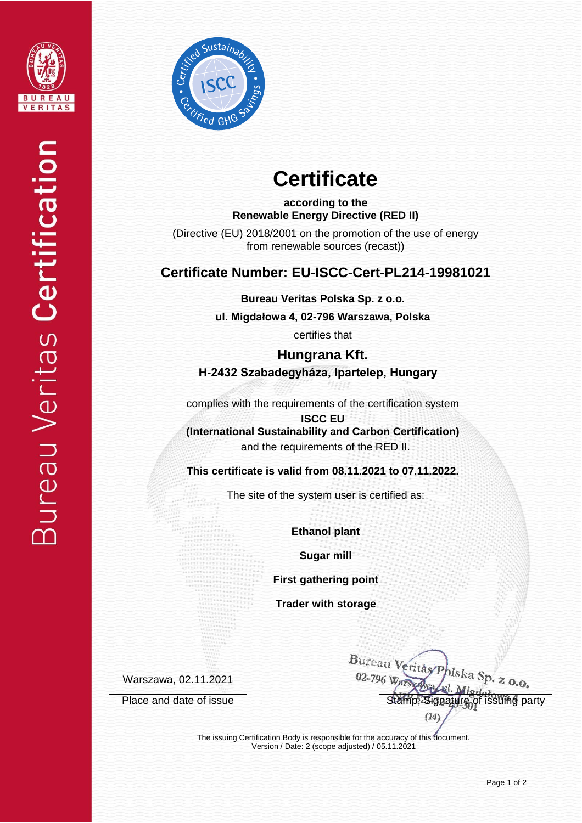



# **Certificate**

**according to the Renewable Energy Directive (RED II)**

(Directive (EU) 2018/2001 on the promotion of the use of energy from renewable sources (recast))

## **Certificate Number: EU-ISCC-Cert-PL214-19981021**

**Bureau Veritas Polska Sp. z o.o.**

**ul. Migdałowa 4, 02-796 Warszawa, Polska** 

certifies that

**Hungrana Kft. H-2432 Szabadegyháza, Ipartelep, Hungary**

complies with the requirements of the certification system

**ISCC EU (International Sustainability and Carbon Certification)** and the requirements of the RED II.

**This certificate is valid from 08.11.2021 to 07.11.2022.**

The site of the system user is certified as:

**Ethanol plant**

**Sugar mill**

**First gathering point**

**Trader with storage**

Warszawa, 02.11.2021

Bureau Veritas 02-796 p. z o.o. Place and date of issue Stamp, Signature of issuing party  $(14)$ 

The issuing Certification Body is responsible for the accuracy of this document. Version / Date: 2 (scope adjusted) / 05.11.2021